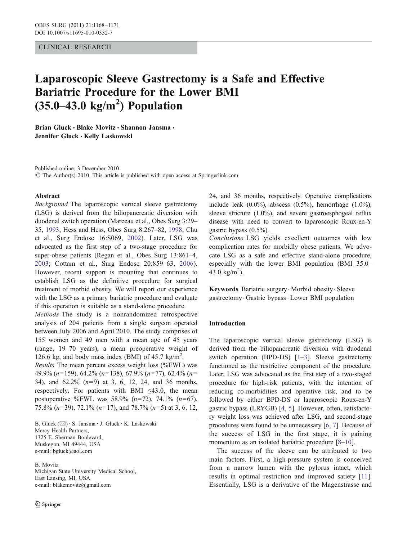## CLINICAL RESEARCH

# Laparoscopic Sleeve Gastrectomy is a Safe and Effective Bariatric Procedure for the Lower BMI  $(35.0-43.0 \text{ kg/m}^2)$  Population

Brian Gluck · Blake Movitz · Shannon Jansma · Jennifer Gluck · Kelly Laskowski

Published online: 3 December 2010  $\odot$  The Author(s) 2010. This article is published with open access at Springerlink.com

#### Abstract

Background The laparoscopic vertical sleeve gastrectomy (LSG) is derived from the biliopancreatic diversion with duodenal switch operation (Marceau et al., Obes Surg 3:29– 35, [1993;](#page-3-0) Hess and Hess, Obes Surg 8:267–82, [1998;](#page-3-0) Chu et al., Surg Endosc 16:S069, [2002\)](#page-3-0). Later, LSG was advocated as the first step of a two-stage procedure for super-obese patients (Regan et al., Obes Surg 13:861–4, [2003](#page-3-0); Cottam et al., Surg Endosc 20:859–63, [2006](#page-3-0)). However, recent support is mounting that continues to establish LSG as the definitive procedure for surgical treatment of morbid obesity. We will report our experience with the LSG as a primary bariatric procedure and evaluate if this operation is suitable as a stand-alone procedure.

Methods The study is a nonrandomized retrospective analysis of 204 patients from a single surgeon operated between July 2006 and April 2010. The study comprises of 155 women and 49 men with a mean age of 45 years (range, 19–70 years), a mean preoperative weight of 126.6 kg, and body mass index (BMI) of  $45.7 \text{ kg/m}^2$ . Results The mean percent excess weight loss (%EWL) was 49.9% (n=159), 64.2% (n=138), 67.9% (n=77), 62.4% (n=

34), and 62.2% (n=9) at 3, 6, 12, 24, and 36 months, respectively. For patients with BMI  $\leq 43.0$ , the mean postoperative %EWL was 58.9%  $(n=72)$ , 74.1%  $(n=67)$ , 75.8% ( $n=39$ ), 72.1% ( $n=17$ ), and 78.7% ( $n=5$ ) at 3, 6, 12,

B. Gluck (⊠) · S. Jansma · J. Gluck · K. Laskowski Mercy Health Partners, 1325 E. Sherman Boulevard, Muskegon, MI 49444, USA e-mail: bgluck@aol.com

B. Movitz Michigan State University Medical School, East Lansing, MI, USA e-mail: blakemovitz@gmail.com

24, and 36 months, respectively. Operative complications include leak  $(0.0\%)$ , abscess  $(0.5\%)$ , hemorrhage  $(1.0\%)$ , sleeve stricture (1.0%), and severe gastroesphogeal reflux disease with need to convert to laparoscopic Roux-en-Y gastric bypass (0.5%).

Conclusions LSG yields excellent outcomes with low complication rates for morbidly obese patients. We advocate LSG as a safe and effective stand-alone procedure, especially with the lower BMI population (BMI 35.0– 43.0  $\text{kg/m}^2$ ).

Keywords Bariatric surgery. Morbid obesity. Sleeve gastrectomy . Gastric bypass. Lower BMI population

## Introduction

The laparoscopic vertical sleeve gastrectomy (LSG) is derived from the biliopancreatic diversion with duodenal switch operation (BPD-DS) [[1](#page-3-0)–[3](#page-3-0)]. Sleeve gastrectomy functioned as the restrictive component of the procedure. Later, LSG was advocated as the first step of a two-staged procedure for high-risk patients, with the intention of reducing co-morbidities and operative risk, and to be followed by either BPD-DS or laparoscopic Roux-en-Y gastric bypass (LRYGB) [[4,](#page-3-0) [5](#page-3-0)]. However, often, satisfactory weight loss was achieved after LSG, and second-stage procedures were found to be unnecessary [[6,](#page-3-0) [7\]](#page-3-0). Because of the success of LSG in the first stage, it is gaining momentum as an isolated bariatric procedure [[8](#page-3-0)–[10\]](#page-3-0).

The success of the sleeve can be attributed to two main factors. First, a high-pressure system is conceived from a narrow lumen with the pylorus intact, which results in optimal restriction and improved satiety [[11](#page-3-0)]. Essentially, LSG is a derivative of the Magenstrasse and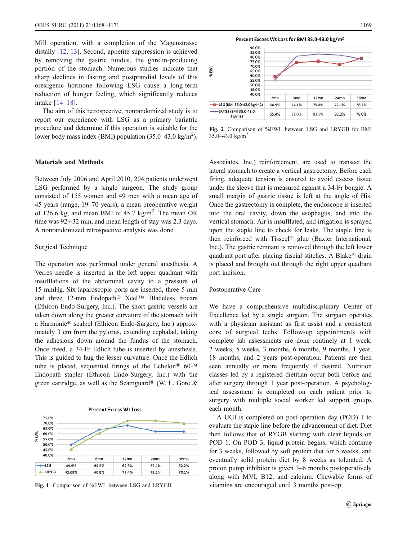<span id="page-1-0"></span>Mill operation, with a completion of the Magenstrasse distally [\[12](#page-3-0), [13](#page-3-0)]. Second, appetite suppression is achieved by removing the gastric fundus, the ghrelin-producing portion of the stomach. Numerous studies indicate that sharp declines in fasting and postprandial levels of this orexigenic hormone following LSG cause a long-term reduction of hunger feeling, which significantly reduces intake [\[14](#page-3-0)–[18\]](#page-3-0).

The aim of this retrospective, nonrandomized study is to report our experience with LSG as a primary bariatric procedure and determine if this operation is suitable for the lower body mass index (BMI) population  $(35.0-43.0 \text{ kg/m}^2)$ .

## Materials and Methods

Between July 2006 and April 2010, 204 patients underwent LSG performed by a single surgeon. The study group consisted of 155 women and 49 men with a mean age of 45 years (range, 19–70 years), a mean preoperative weight of 126.6 kg, and mean BMI of  $45.7 \text{ kg/m}^2$ . The mean OR time was  $92 \pm 32$  min, and mean length of stay was 2.3 days. A nonrandomized retrospective analysis was done.

#### Surgical Technique

The operation was performed under general anesthesia. A Verres needle is inserted in the left upper quadrant with insufflations of the abdominal cavity to a pressure of 15 mmHg. Six laparoscopic ports are inserted, three 5-mm and three 12-mm Endopath® Xcel™ Bladeless trocars (Ethicon Endo-Surgery, Inc.). The short gastric vessels are taken down along the greater curvature of the stomach with a Harmonic® scalpel (Ethicon Endo-Surgery, Inc.) approximately 3 cm from the pylorus, extending cephalad, taking the adhesions down around the fundus of the stomach. Once freed, a 34-Fr Edlich tube is inserted by anesthesia. This is guided to hug the lesser curvature. Once the Edlich tube is placed, sequential firings of the Echelon<sup>®</sup>  $60<sup>TM</sup>$ Endopath stapler (Ethicon Endo-Surgery, Inc.) with the green cartridge, as well as the Seamguard® (W. L. Gore &



**Percent Excess Wt Loss** 



| %EWL                            | 90.0%<br>85.0%<br>80.0%<br>75.0%<br>70.0%<br>65.0%<br>60.0%<br>55.0%<br>50.0% |                 |                 |       |                  |       |  |
|---------------------------------|-------------------------------------------------------------------------------|-----------------|-----------------|-------|------------------|-------|--|
|                                 | 45.0%<br>40.0%                                                                | 3 <sub>mo</sub> | 6 <sub>mo</sub> | 12mo  | 24 <sub>mo</sub> | 36mo  |  |
| -B-LSG(BMI 35.0-43.0 kg/m2)     |                                                                               | 58.9%           | 74.1%           | 75.8% | 72.1%            | 78.7% |  |
| -CRYGB (BMI 35.0-43.0<br>kg/m2) |                                                                               | 55.4%           | 81.0%           | 83.5% | 82.2%            | 78.0% |  |

Fig. 2 Comparison of %EWL between LSG and LRYGB for BMI 35.0–43.0 kg/m<sup>2</sup>

Associates, Inc.) reinforcement, are used to transect the lateral stomach to create a vertical gastrectomy. Before each firing, adequate tension is ensured to avoid excess tissue under the sleeve that is measured against a 34-Fr bougie. A small margin of gastric tissue is left at the angle of His. Once the gastrectomy is complete, the endoscope is inserted into the oral cavity, down the esophagus, and into the vertical stomach. Air is insufflated, and irrigation is sprayed upon the staple line to check for leaks. The staple line is then reinforced with Tisseel® glue (Baxter International, Inc.). The gastric remnant is removed through the left lower quadrant port after placing fascial stitches. A Blake® drain is placed and brought out through the right upper quadrant port incision.

## Postoperative Care

We have a comprehensive multidisciplinary Center of Excellence led by a single surgeon. The surgeon operates with a physician assistant as first assist and a consistent core of surgical techs. Follow-up appointments with complete lab assessments are done routinely at 1 week, 2 weeks, 5 weeks, 3 months, 6 months, 9 months, 1 year, 18 months, and 2 years post-operation. Patients are then seen annually or more frequently if desired. Nutrition classes led by a registered dietitian occur both before and after surgery through 1 year post-operation. A psychological assessment is completed on each patient prior to surgery with multiple social worker led support groups each month.

A UGI is completed on post-operation day (POD) 1 to evaluate the staple line before the advancement of diet. Diet then follows that of RYGB starting with clear liquids on POD 1. On POD 3, liquid protein begins, which continue for 3 weeks, followed by soft protein diet for 5 weeks, and eventually solid protein diet by 8 weeks as tolerated. A proton pump inhibitor is given 3–6 months postoperatively along with MVI, B12, and calcium. Chewable forms of Fig. 1 Comparison of %EWL between LSG and LRYGB vitamins are encouraged until 3 months post-op.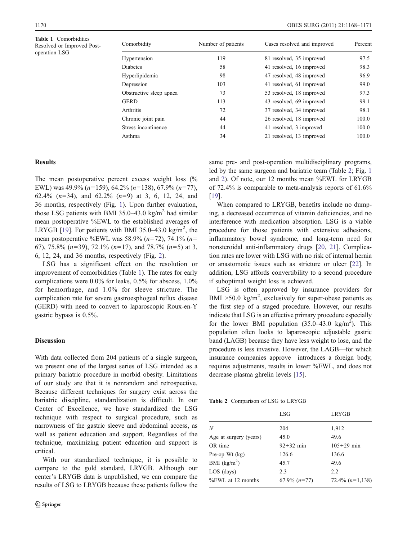Table 1 Comorbidities Resolved or Improved Postoperation LSG

| Comorbidity             | Number of patients | Cases resolved and improved | Percent |
|-------------------------|--------------------|-----------------------------|---------|
| Hypertension            | 119                | 81 resolved, 35 improved    | 97.5    |
| <b>Diabetes</b>         | 58                 | 41 resolved, 16 improved    | 98.3    |
| Hyperlipidemia          | 98                 | 47 resolved, 48 improved    | 96.9    |
| Depression              | 103                | 41 resolved, 61 improved    | 99.0    |
| Obstructive sleep apnea | 73                 | 53 resolved, 18 improved    | 97.3    |
| GERD                    | 113                | 43 resolved, 69 improved    | 99.1    |
| <b>Arthritis</b>        | 72                 | 37 resolved, 34 improved    | 98.1    |
| Chronic joint pain      | 44                 | 26 resolved, 18 improved    | 100.0   |
| Stress incontinence     | 44                 | 41 resolved, 3 improved     | 100.0   |
| Asthma                  | 34                 | 21 resolved, 13 improved    | 100.0   |
|                         |                    |                             |         |

## **Results**

The mean postoperative percent excess weight loss (% EWL) was  $49.9\%$  (n=159), 64.2% (n=138), 67.9% (n=77), 62.4%  $(n=34)$ , and 62.2%  $(n=9)$  at 3, 6, 12, 24, and 36 months, respectively (Fig. [1](#page-1-0)). Upon further evaluation, those LSG patients with BMI 35.0–43.0 kg/m<sup>2</sup> had similar mean postoperative %EWL to the established averages of LRYGB [[19\]](#page-3-0). For patients with BMI 35.0–43.0 kg/m<sup>2</sup>, the mean postoperative %EWL was 58.9% ( $n=72$ ), 74.1% ( $n=$ 67), 75.8%  $(n=39)$ , 72.1%  $(n=17)$ , and 78.7%  $(n=5)$  at 3, 6, 12, 24, and 36 months, respectively (Fig. [2](#page-1-0)).

LSG has a significant effect on the resolution or improvement of comorbidities (Table 1). The rates for early complications were 0.0% for leaks, 0.5% for abscess, 1.0% for hemorrhage, and 1.0% for sleeve stricture. The complication rate for severe gastroesphogeal reflux disease (GERD) with need to convert to laparoscopic Roux-en-Y gastric bypass is 0.5%.

## **Discussion**

With data collected from 204 patients of a single surgeon, we present one of the largest series of LSG intended as a primary bariatric procedure in morbid obesity. Limitations of our study are that it is nonrandom and retrospective. Because different techniques for surgery exist across the bariatric discipline, standardization is difficult. In our Center of Excellence, we have standardized the LSG technique with respect to surgical procedure, such as narrowness of the gastric sleeve and abdominal access, as well as patient education and support. Regardless of the technique, maximizing patient education and support is critical.

With our standardized technique, it is possible to compare to the gold standard, LRYGB. Although our center's LRYGB data is unpublished, we can compare the results of LSG to LRYGB because these patients follow the same pre- and post-operation multidisciplinary programs, led by the same surgeon and bariatric team (Table 2; Fig. [1](#page-1-0) and [2\)](#page-1-0). Of note, our 12 months mean %EWL for LRYGB of 72.4% is comparable to meta-analysis reports of 61.6% [\[19](#page-3-0)].

When compared to LRYGB, benefits include no dumping, a decreased occurrence of vitamin deficiencies, and no interference with medication absorption. LSG is a viable procedure for those patients with extensive adhesions, inflammatory bowel syndrome, and long-term need for nonsteroidal anti-inflammatory drugs [\[20](#page-3-0), [21](#page-3-0)]. Complication rates are lower with LSG with no risk of internal hernia or anastomotic issues such as stricture or ulcer [\[22](#page-3-0)]. In addition, LSG affords convertibility to a second procedure if suboptimal weight loss is achieved.

LSG is often approved by insurance providers for BMI  $>50.0 \text{ kg/m}^2$ , exclusively for super-obese patients as the first step of a staged procedure. However, our results indicate that LSG is an effective primary procedure especially for the lower BMI population  $(35.0-43.0 \text{ kg/m}^2)$ . This population often looks to laparoscopic adjustable gastric band (LAGB) because they have less weight to lose, and the procedure is less invasive. However, the LAGB—for which insurance companies approve—introduces a foreign body, requires adjustments, results in lower %EWL, and does not decrease plasma ghrelin levels [[15\]](#page-3-0).

Table 2 Comparison of LSG to LRYGB

|                        | LSG               | LRYGB             |
|------------------------|-------------------|-------------------|
| N                      | 204               | 1,912             |
| Age at surgery (years) | 45.0              | 49.6              |
| OR time                | $92 \pm 32$ min   | $105 \pm 29$ min  |
| Pre-op Wt $(kg)$       | 126.6             | 136.6             |
| BMI $(kg/m2)$          | 45.7              | 49.6              |
| LOS (days)             | 2.3               | 2.2               |
| %EWL at 12 months      | $67.9\%$ $(n=77)$ | 72.4% $(n=1,138)$ |